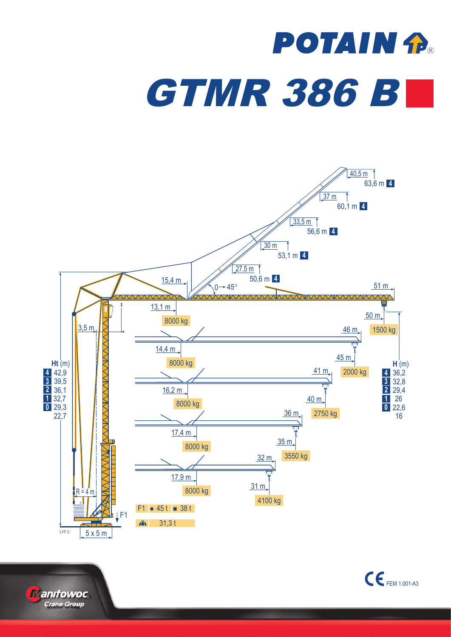## **POTAIN fl GTMR 386 BL**





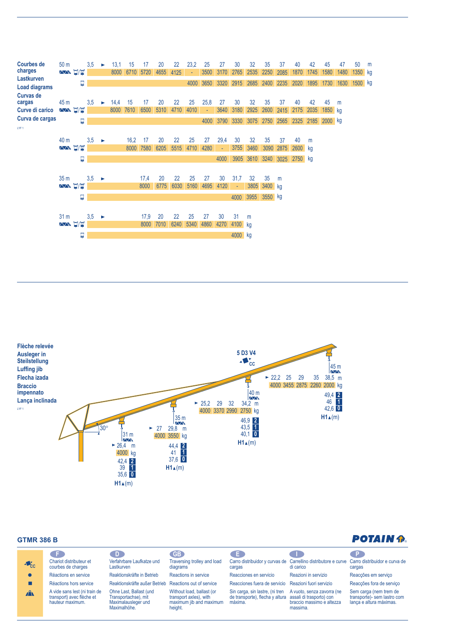



## **GTMR 386 B**

| <b>POTAIN A</b> |  |
|-----------------|--|
|-----------------|--|

| o po                                                                           | D.                                   | GB <sup></sup>                                                                                            | Œ                                                                                     |                      | $\mathsf{P}$                                                                                                                                                                                                                                                                             |
|--------------------------------------------------------------------------------|--------------------------------------|-----------------------------------------------------------------------------------------------------------|---------------------------------------------------------------------------------------|----------------------|------------------------------------------------------------------------------------------------------------------------------------------------------------------------------------------------------------------------------------------------------------------------------------------|
| courbes de charges                                                             | Lastkurven                           | diagrams                                                                                                  | cargas                                                                                |                      | cargas                                                                                                                                                                                                                                                                                   |
| Réactions en service                                                           |                                      | Reactions in service                                                                                      | Reacciones en servicio                                                                | Reazioni in servizio | Reacções em serviço                                                                                                                                                                                                                                                                      |
| Réactions hors service                                                         |                                      |                                                                                                           |                                                                                       |                      | Reacções fora de serviço                                                                                                                                                                                                                                                                 |
| A vide sans lest (ni train de<br>transport) avec flèche et<br>hauteur maximum. | Transportachse), mit<br>Maximalhöhe. | Without load, ballast (or<br>transport axles), with<br>maximum jib and maximum<br>height.                 | Sin carga, sin lastre, (ni tren<br>máxima.                                            | massima.             | Sem carga (nem trem de<br>transporte)- sem lastro com<br>lança e altura máximas.                                                                                                                                                                                                         |
|                                                                                | Chariot distributeur et              | Verfahrbare Laufkatze und<br>Reaktionskräfte in Betrieb<br>Ohne Last, Ballast (und<br>Maximalausleger und | Traversing trolley and load<br>Reaktionskräfte außer Betrieb Reactions out of service |                      | Carro distribuidor y curvas de Carrellino distributore e curve Carro distribuidor e curva de<br>di carico<br>Reacciones fuera de servicio Reazioni fuori servizio<br>A vuoto, senza zavorra (ne<br>de transporte), flecha y altura assali di trasporto) con<br>braccio massimo e altezza |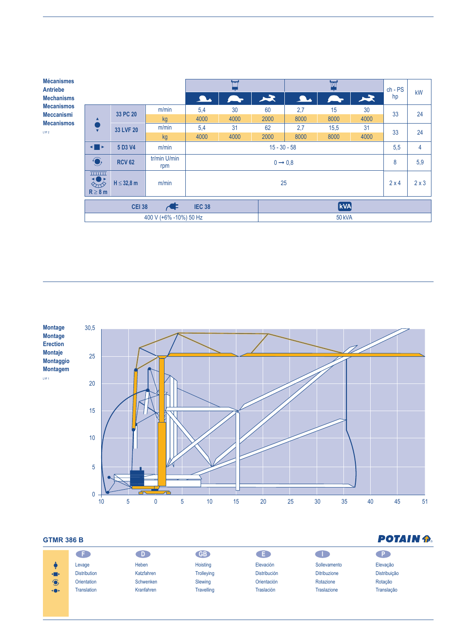| <b>Mécanismes</b><br><b>Antriebe</b>   |                                     |                 |                     |                             | $\overline{\mathtt{w}}$ |               | $ch - PS$ | kW   |              |              |    |
|----------------------------------------|-------------------------------------|-----------------|---------------------|-----------------------------|-------------------------|---------------|-----------|------|--------------|--------------|----|
| <b>Mechanisms</b>                      |                                     |                 |                     | <b>A.</b>                   |                         | $\star$       | A.        |      | 及            | hp           |    |
| <b>Mecanismos</b>                      | ▲<br>$\overline{\mathbf{v}}$        | 33 PC 20        | m/min               | 5,4                         | 30                      | 60            | 2,7       | 15   | 30           | 33           | 24 |
| <b>Meccanismi</b><br><b>Mecanismos</b> |                                     |                 | <b>kg</b>           | 4000                        | 4000                    | 2000          | 8000      | 8000 | 4000         |              |    |
| LYF <sub>2</sub>                       |                                     | 33 LVF 20       | m/min               | 5.4                         | 31                      | 62            | 2,7       | 15,5 | 31           | 33<br>24     |    |
|                                        |                                     |                 | kg                  | 4000                        | 4000                    | 2000          | 8000      | 8000 | 4000         |              |    |
|                                        | ◂▮▸                                 | 5 D3 V4         | m/min               | $15 - 30 - 58$              |                         |               |           |      | 5,5          | 4            |    |
|                                        | $\bigodot$                          | <b>RCV 62</b>   | tr/min U/min<br>rpm | $0 \rightarrow 0.8$         |                         |               |           |      | 8            | 5,9          |    |
|                                        | <b>THEFT</b><br>ES-<br>$R \geq 8$ m | $H \leq 32,8$ m | m/min               | 25                          |                         |               |           |      | $2 \times 4$ | $2 \times 3$ |    |
|                                        | <b>CEI 38</b>                       |                 |                     | <b>kVA</b><br><b>IEC 38</b> |                         |               |           |      |              |              |    |
|                                        | 400 V (+6% -10%) 50 Hz              |                 |                     |                             |                         | <b>50 kVA</b> |           |      |              |              |    |



## **GTMR 386 B**

| <b>GTMR 386 B</b> | <b>POTAIN P.</b>    |            |                   |                     |                     |              |
|-------------------|---------------------|------------|-------------------|---------------------|---------------------|--------------|
|                   | a s                 | D.         | <b>GB</b>         | . E .               |                     | l Pi         |
|                   | Levage              | Heben      | Hoisting          | Elevación           | Sollevamento        | Elevação     |
| <b>SIL</b>        | <b>Distribution</b> | Katzfahren | <b>Trolleying</b> | <b>Distribución</b> | <b>Ditribuzione</b> | Distribuição |
| $\bigodot$        | <b>Orientation</b>  | Schwenken  | Slewing           | Orientación         | Rotazione           | Rotação      |
| <b>+0+</b>        | <b>Translation</b>  | Kranfahren | <b>Travelling</b> | <b>Traslación</b>   | <b>Traslazione</b>  | Translação   |